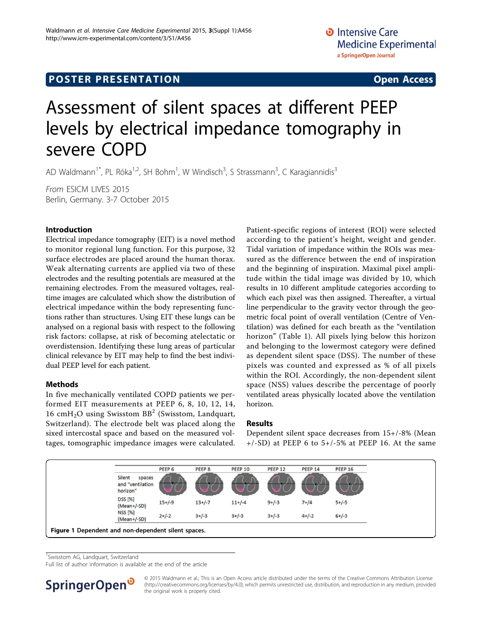## **POSTER PRESENTATION CONSUMING THE SERVICE SERVICE SERVICES**

# Assessment of silent spaces at different PEEP levels by electrical impedance tomography in severe COPD

AD Waldmann<sup>1\*</sup>, PL Róka<sup>1,2</sup>, SH Bohm<sup>1</sup>, W Windisch<sup>3</sup>, S Strassmann<sup>3</sup>, C Karagiannidis<sup>3</sup>

From ESICM LIVES 2015 Berlin, Germany. 3-7 October 2015

#### Introduction

Electrical impedance tomography (EIT) is a novel method to monitor regional lung function. For this purpose, 32 surface electrodes are placed around the human thorax. Weak alternating currents are applied via two of these electrodes and the resulting potentials are measured at the remaining electrodes. From the measured voltages, realtime images are calculated which show the distribution of electrical impedance within the body representing functions rather than structures. Using EIT these lungs can be analysed on a regional basis with respect to the following risk factors: collapse, at risk of becoming atelectatic or overdistension. Identifying these lung areas of particular clinical relevance by EIT may help to find the best individual PEEP level for each patient.

#### Methods

In five mechanically ventilated COPD patients we performed EIT measurements at PEEP 6, 8, 10, 12, 14, 16 cmH<sub>2</sub>O using Swisstom BB<sup>2</sup> (Swisstom, Landquart, Switzerland). The electrode belt was placed along the sixed intercostal space and based on the measured voltages, tomographic impedance images were calculated. Patient-specific regions of interest (ROI) were selected according to the patient's height, weight and gender. Tidal variation of impedance within the ROIs was measured as the difference between the end of inspiration and the beginning of inspiration. Maximal pixel amplitude within the tidal image was divided by 10, which results in 10 different amplitude categories according to which each pixel was then assigned. Thereafter, a virtual line perpendicular to the gravity vector through the geometric focal point of overall ventilation (Centre of Ventilation) was defined for each breath as the "ventilation horizon" (Table 1). All pixels lying below this horizon and belonging to the lowermost category were defined as dependent silent space (DSS). The number of these pixels was counted and expressed as % of all pixels within the ROI. Accordingly, the non-dependent silent space (NSS) values describe the percentage of poorly ventilated areas physically located above the ventilation horizon.

#### Results

Dependent silent space decreases from 15+/-8% (Mean  $+/-SD$ ) at PEEP 6 to  $5+/-5%$  at PEEP 16. At the same



<sup>1</sup> Swisstom AG, Landquart, Switzerland

Full list of author information is available at the end of the article



© 2015 Waldmann et al.; This is an Open Access article distributed under the terms of the Creative Commons Attribution License [\(http://creativecommons.org/licenses/by/4.0](http://creativecommons.org/licenses/by/4.0)), which permits unrestricted use, distribution, and reproduction in any medium, provided the original work is properly cited.